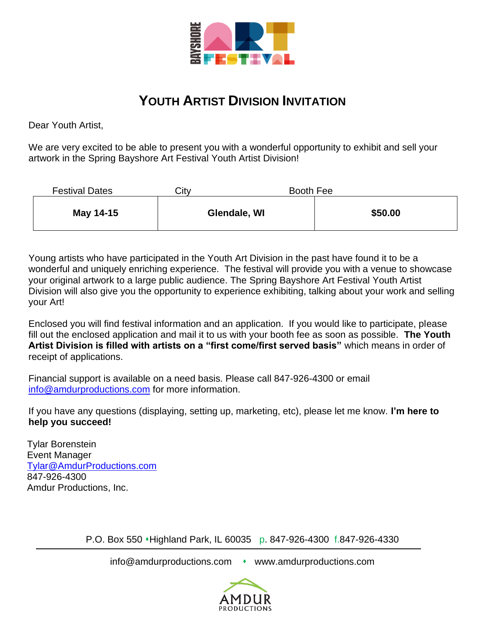

## **YOUTH ARTIST DIVISION INVITATION**

Dear Youth Artist,

We are very excited to be able to present you with a wonderful opportunity to exhibit and sell your artwork in the Spring Bayshore Art Festival Youth Artist Division!

| <b>Festival Dates</b> | Citv | Booth Fee    |         |
|-----------------------|------|--------------|---------|
| May 14-15             |      | Glendale, WI | \$50.00 |

Young artists who have participated in the Youth Art Division in the past have found it to be a wonderful and uniquely enriching experience. The festival will provide you with a venue to showcase your original artwork to a large public audience. The Spring Bayshore Art Festival Youth Artist Division will also give you the opportunity to experience exhibiting, talking about your work and selling your Art!

Enclosed you will find festival information and an application. If you would like to participate, please fill out the enclosed application and mail it to us with your booth fee as soon as possible. **The Youth Artist Division is filled with artists on a "first come/first served basis"** which means in order of receipt of applications.

Financial support is available on a need basis. Please call 847-926-4300 or email [info@amdurproductions.com](mailto:info@amdurproductions.com) for more information.

If you have any questions (displaying, setting up, marketing, etc), please let me know. **I'm here to help you succeed!**

Tylar Borenstein Event Manager [Tylar@AmdurProductions.com](mailto:Tylar@AmdurProductions.com) 847-926-4300 Amdur Productions, Inc.

P.O. Box 550 • Highland Park, IL 60035 p. 847-926-4300 f.847-926-4330

info@amdurproductions.com • www.amdurproductions.com

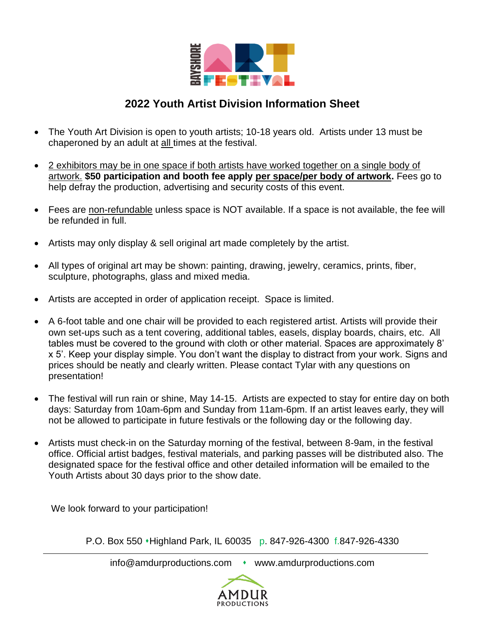

## **2022 Youth Artist Division Information Sheet**

- The Youth Art Division is open to youth artists; 10-18 years old. Artists under 13 must be chaperoned by an adult at all times at the festival.
- 2 exhibitors may be in one space if both artists have worked together on a single body of artwork. **\$50 participation and booth fee apply per space/per body of artwork.** Fees go to help defray the production, advertising and security costs of this event.
- Fees are non-refundable unless space is NOT available. If a space is not available, the fee will be refunded in full.
- Artists may only display & sell original art made completely by the artist.
- All types of original art may be shown: painting, drawing, jewelry, ceramics, prints, fiber, sculpture, photographs, glass and mixed media.
- Artists are accepted in order of application receipt. Space is limited.
- A 6-foot table and one chair will be provided to each registered artist. Artists will provide their own set-ups such as a tent covering, additional tables, easels, display boards, chairs, etc. All tables must be covered to the ground with cloth or other material. Spaces are approximately 8' x 5'. Keep your display simple. You don't want the display to distract from your work. Signs and prices should be neatly and clearly written. Please contact Tylar with any questions on presentation!
- The festival will run rain or shine, May 14-15. Artists are expected to stay for entire day on both days: Saturday from 10am-6pm and Sunday from 11am-6pm. If an artist leaves early, they will not be allowed to participate in future festivals or the following day or the following day.
- Artists must check-in on the Saturday morning of the festival, between 8-9am, in the festival office. Official artist badges, festival materials, and parking passes will be distributed also. The designated space for the festival office and other detailed information will be emailed to the Youth Artists about 30 days prior to the show date.

We look forward to your participation!

P.O. Box 550 • Highland Park, IL 60035 p. 847-926-4300 f.847-926-4330

info@amdurproductions.com • www.amdurproductions.com